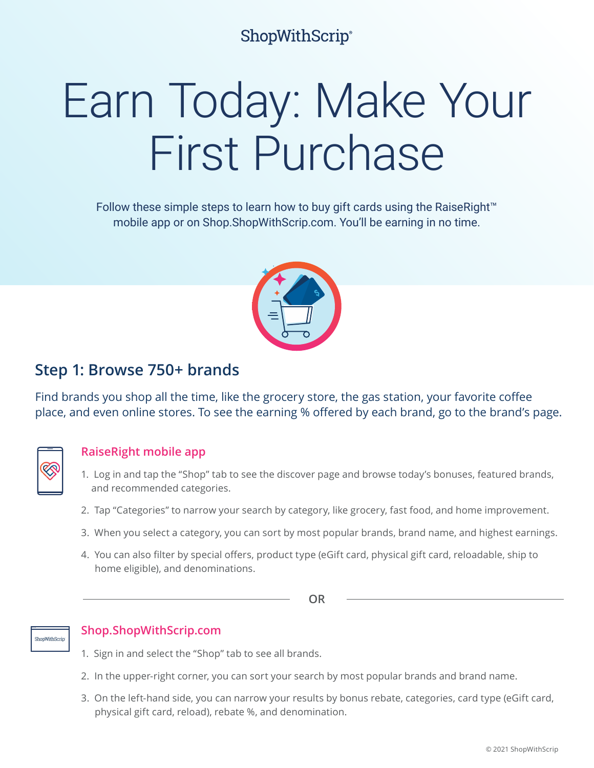# **ShopWithScrip®**

# Earn Today: Make Your First Purchase

Follow these simple steps to learn how to buy gift cards using the RaiseRight™ mobile app or on Shop.ShopWithScrip.com. You'll be earning in no time.



## **Step 1: Browse 750+ brands**

Find brands you shop all the time, like the grocery store, the gas station, your favorite coffee place, and even online stores. To see the earning % offered by each brand, go to the brand's page.



## **RaiseRight mobile app**

- 1. Log in and tap the "Shop" tab to see the discover page and browse today's bonuses, featured brands, and recommended categories.
- 2. Tap "Categories" to narrow your search by category, like grocery, fast food, and home improvement.
- 3. When you select a category, you can sort by most popular brands, brand name, and highest earnings.
- 4. You can also filter by special offers, product type (eGift card, physical gift card, reloadable, ship to home eligible), and denominations.

**OR**



### **Shop.ShopWithScrip.com**

- 1. Sign in and select the "Shop" tab to see all brands.
- 2. In the upper-right corner, you can sort your search by most popular brands and brand name.
- 3. On the left-hand side, you can narrow your results by bonus rebate, categories, card type (eGift card, physical gift card, reload), rebate %, and denomination.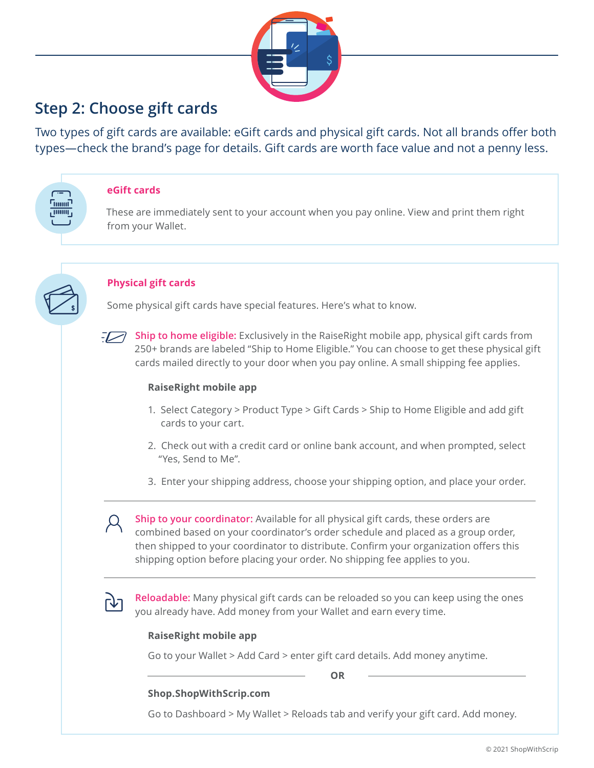

## **Step 2: Choose gift cards**

Two types of gift cards are available: eGift cards and physical gift cards. Not all brands offer both types—check the brand's page for details. Gift cards are worth face value and not a penny less.



#### **eGift cards**

These are immediately sent to your account when you pay online. View and print them right from your Wallet.



#### **Physical gift cards**

Some physical gift cards have special features. Here's what to know.



**Ship to home eligible:** Exclusively in the RaiseRight mobile app, physical gift cards from 250+ brands are labeled "Ship to Home Eligible." You can choose to get these physical gift cards mailed directly to your door when you pay online. A small shipping fee applies.

#### **RaiseRight mobile app**

- 1. Select Category > Product Type > Gift Cards > Ship to Home Eligible and add gift cards to your cart.
- 2. Check out with a credit card or online bank account, and when prompted, select "Yes, Send to Me".
- 3. Enter your shipping address, choose your shipping option, and place your order.

**Ship to your coordinator:** Available for all physical gift cards, these orders are combined based on your coordinator's order schedule and placed as a group order, then shipped to your coordinator to distribute. Confirm your organization offers this shipping option before placing your order. No shipping fee applies to you.

**Reloadable:** Many physical gift cards can be reloaded so you can keep using the ones you already have. Add money from your Wallet and earn every time.

#### **RaiseRight mobile app**

Go to your Wallet > Add Card > enter gift card details. Add money anytime.

**OR**

#### **Shop.ShopWithScrip.com**

Go to Dashboard > My Wallet > Reloads tab and verify your gift card. Add money.